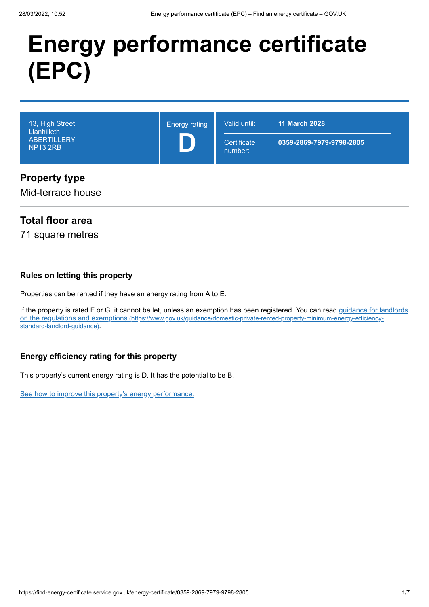# **Energy performance certificate (EPC)**

| 13, High Street<br>Llanhilleth<br><b>ABERTILLERY</b><br><b>NP13 2RB</b> | <b>Energy rating</b> | Valid until:<br>Certificate<br>number: | <b>11 March 2028</b><br>0359-2869-7979-9798-2805 |
|-------------------------------------------------------------------------|----------------------|----------------------------------------|--------------------------------------------------|
| <b>Property type</b><br>Mid-terrace house                               |                      |                                        |                                                  |

## **Total floor area**

71 square metres

#### **Rules on letting this property**

Properties can be rented if they have an energy rating from A to E.

[If the property is rated F or G, it cannot be let, unless an exemption has been registered. You can read guidance for landlords](https://www.gov.uk/guidance/domestic-private-rented-property-minimum-energy-efficiency-standard-landlord-guidance) on the regulations and exemptions (https://www.gov.uk/guidance/domestic-private-rented-property-minimum-energy-efficiencystandard-landlord-guidance).

#### **Energy efficiency rating for this property**

This property's current energy rating is D. It has the potential to be B.

[See how to improve this property's energy performance.](#page-3-0)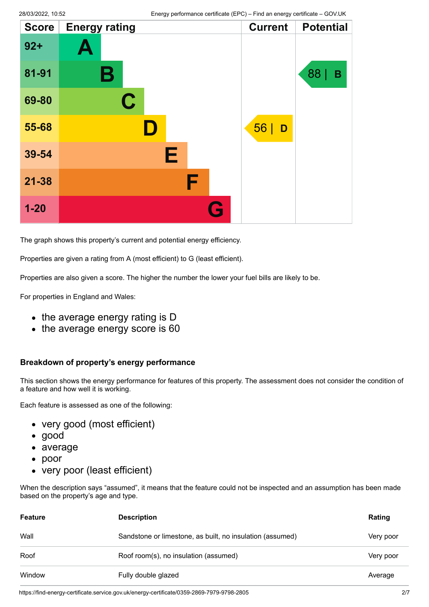| <b>Score</b> | <b>Energy rating</b> |   | <b>Current</b> | <b>Potential</b> |
|--------------|----------------------|---|----------------|------------------|
| $92 +$       | Ą                    |   |                |                  |
| 81-91        | Β                    |   |                | 88  <br>B        |
| 69-80        | $\mathbf C$          |   |                |                  |
| 55-68        | D                    |   | 56<br>D        |                  |
| 39-54        | Е                    |   |                |                  |
| $21 - 38$    | F                    |   |                |                  |
| $1 - 20$     |                      | C |                |                  |

The graph shows this property's current and potential energy efficiency.

Properties are given a rating from A (most efficient) to G (least efficient).

Properties are also given a score. The higher the number the lower your fuel bills are likely to be.

For properties in England and Wales:

- the average energy rating is D
- the average energy score is 60

#### **Breakdown of property's energy performance**

This section shows the energy performance for features of this property. The assessment does not consider the condition of a feature and how well it is working.

Each feature is assessed as one of the following:

- very good (most efficient)
- good
- average
- poor
- very poor (least efficient)

When the description says "assumed", it means that the feature could not be inspected and an assumption has been made based on the property's age and type.

| <b>Feature</b> | <b>Description</b>                                        | Rating    |
|----------------|-----------------------------------------------------------|-----------|
| Wall           | Sandstone or limestone, as built, no insulation (assumed) | Very poor |
| Roof           | Roof room(s), no insulation (assumed)                     | Very poor |
| Window         | Fully double glazed                                       | Average   |

https://find-energy-certificate.service.gov.uk/energy-certificate/0359-2869-7979-9798-2805 2/7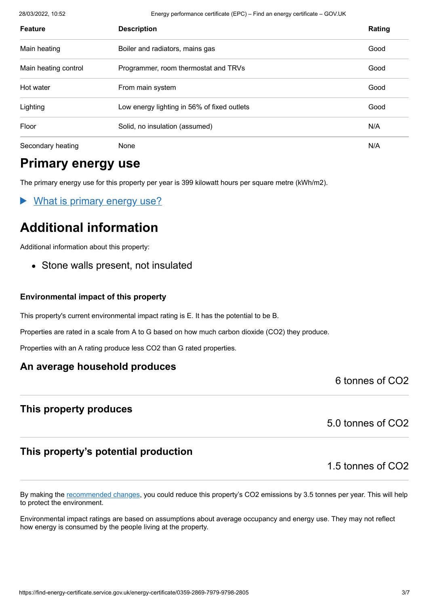28/03/2022, 10:52 Energy performance certificate (EPC) – Find an energy certificate – GOV.UK

| <b>Feature</b>       | <b>Description</b>                          | Rating |
|----------------------|---------------------------------------------|--------|
| Main heating         | Boiler and radiators, mains gas             | Good   |
| Main heating control | Programmer, room thermostat and TRVs        | Good   |
| Hot water            | From main system                            | Good   |
| Lighting             | Low energy lighting in 56% of fixed outlets | Good   |
| Floor                | Solid, no insulation (assumed)              | N/A    |
| Secondary heating    | None                                        | N/A    |

## **Primary energy use**

The primary energy use for this property per year is 399 kilowatt hours per square metre (kWh/m2).

What is primary energy use?

# **Additional information**

Additional information about this property:

• Stone walls present, not insulated

#### **Environmental impact of this property**

This property's current environmental impact rating is E. It has the potential to be B.

Properties are rated in a scale from A to G based on how much carbon dioxide (CO2) they produce.

Properties with an A rating produce less CO2 than G rated properties.

#### **An average household produces**

6 tonnes of CO2

#### **This property produces**

5.0 tonnes of CO2

### **This property's potential production**

1.5 tonnes of CO2

By making the [recommended changes](#page-3-0), you could reduce this property's CO2 emissions by 3.5 tonnes per year. This will help to protect the environment.

Environmental impact ratings are based on assumptions about average occupancy and energy use. They may not reflect how energy is consumed by the people living at the property.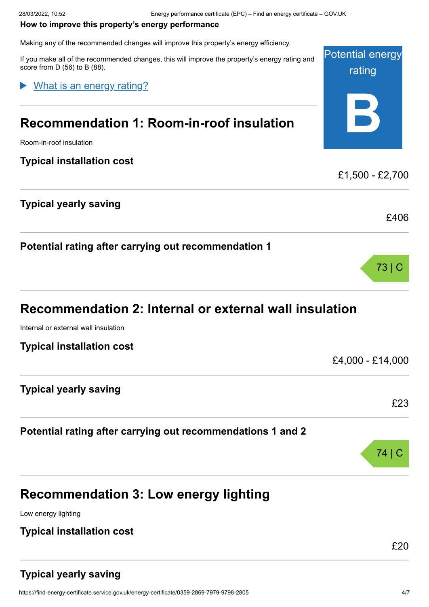#### <span id="page-3-0"></span>**How to improve this property's energy performance**

Making any of the recommended changes will improve this property's energy efficiency.

Potential energy rating **B** If you make all of the recommended changes, this will improve the property's energy rating and score from D (56) to B (88). **Recommendation 1: Room-in-roof insulation** Room-in-roof insulation **Typical installation cost** £1,500 - £2,700 **Typical yearly saving** £406 **Potential rating after carrying out recommendation 1** 73 | C What is an energy rating?

# **Recommendation 2: Internal or external wall insulation**

Internal or external wall insulation

| <b>Typical installation cost</b>                            |                  |
|-------------------------------------------------------------|------------------|
|                                                             | £4,000 - £14,000 |
| <b>Typical yearly saving</b>                                |                  |
|                                                             | £23              |
| Potential rating after carrying out recommendations 1 and 2 |                  |

# **Recommendation 3: Low energy lighting**

Low energy lighting

## **Typical installation cost**

£20

74 | C

## **Typical yearly saving**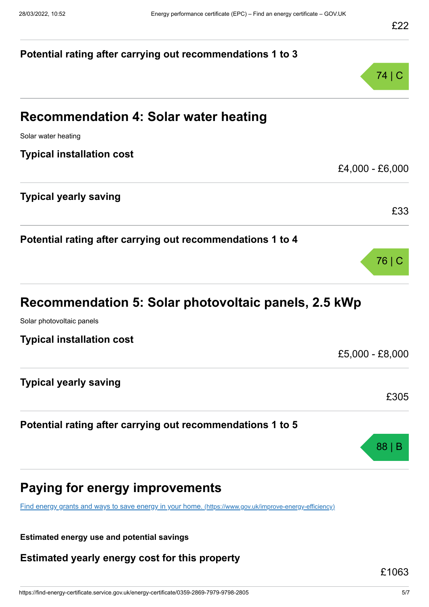# **Potential rating after carrying out recommendations 1 to 3** 74 | C **Recommendation 4: Solar water heating** Solar water heating **Typical installation cost** £4,000 - £6,000 **Typical yearly saving** £33 **Potential rating after carrying out recommendations 1 to 4** 76 | C **Recommendation 5: Solar photovoltaic panels, 2.5 kWp** Solar photovoltaic panels **Typical installation cost** £5,000 - £8,000 **Typical yearly saving** £305 **Potential rating after carrying out recommendations 1 to 5** 88 | B **Paying for energy improvements** [Find energy grants and ways to save energy in your home.](https://www.gov.uk/improve-energy-efficiency) (https://www.gov.uk/improve-energy-efficiency)

**Estimated energy use and potential savings**

**Estimated yearly energy cost for this property**

£1063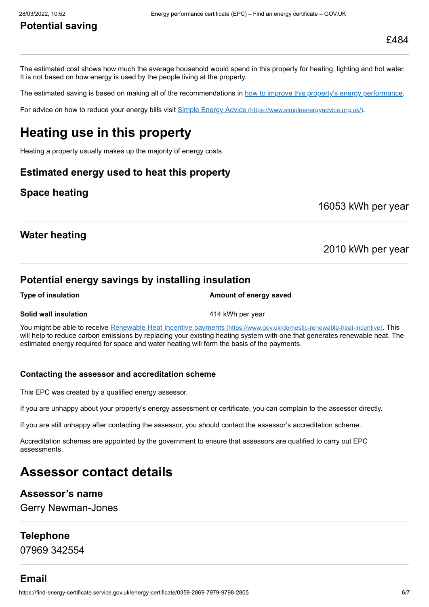## **Potential saving**

The estimated cost shows how much the average household would spend in this property for heating, lighting and hot water. It is not based on how energy is used by the people living at the property.

The estimated saving is based on making all of the recommendations in [how to improve this property's energy performance.](#page-3-0)

For advice on how to reduce your energy bills visit Simple Energy Advice [\(https://www.simpleenergyadvice.org.uk/\)](https://www.simpleenergyadvice.org.uk/).

## **Heating use in this property**

Heating a property usually makes up the majority of energy costs.

#### **Estimated energy used to heat this property**

#### **Space heating**

16053 kWh per year

#### **Water heating**

2010 kWh per year

#### **Potential energy savings by installing insulation**

**Type of insulation Amount of energy saved** 

#### **Solid wall insulation All and Solid wall insulation 414 kWh per year**

You might be able to receive Renewable Heat Incentive payments [\(https://www.gov.uk/domestic-renewable-heat-incentive\)](https://www.gov.uk/domestic-renewable-heat-incentive). This will help to reduce carbon emissions by replacing your existing heating system with one that generates renewable heat. The estimated energy required for space and water heating will form the basis of the payments.

#### **Contacting the assessor and accreditation scheme**

This EPC was created by a qualified energy assessor.

If you are unhappy about your property's energy assessment or certificate, you can complain to the assessor directly.

If you are still unhappy after contacting the assessor, you should contact the assessor's accreditation scheme.

Accreditation schemes are appointed by the government to ensure that assessors are qualified to carry out EPC assessments.

## **Assessor contact details**

#### **Assessor's name**

Gerry Newman-Jones

#### **Telephone**

07969 342554